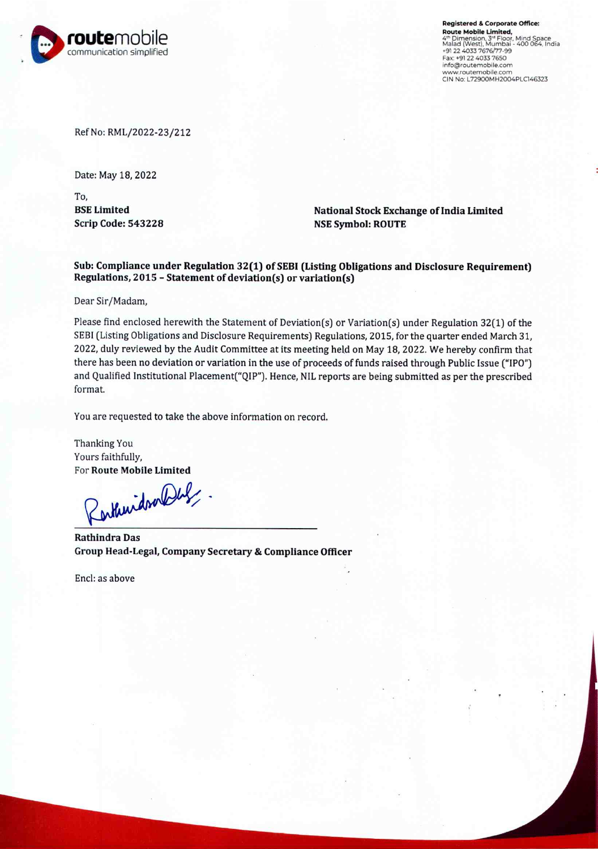

Registered & Corporate Office: Route Mobile Limited, 4ª Dimension, 3ª Floor, Mind Space<br>Malad (West), Mumbai - 400 064, India<br>+91 22 4033 7676/77-99 Fax: +91 22 4033 7650 infogroutemobile.com www.routernobile:com ON No: L72900MH2004PLC146323

Ref No: RML/2022-23/212

Date: May 18, 2022

To, BSE Limited Scrip Code: 543228

National Stock Exchange of India Limited NSE Symbol: ROUTE

Sub: Compliance under Regulation 32(1) of SEBI (Listing Obligations and Disclosure Requirement) Regulations, 2015 - Statement of deviation(s) or variation(s)

Dear Sir/Madam,

Please find enclosed herewith the Statement of Deviation(s) or Variation(s) under Regulation 32(1) of the SEBI (Listing Obligations and Disclosure Requirements) Regulations, 2015, for the quarter ended March 31, 2022, duly reviewed by the Audit Committee at its meeting held on May 18, 2022. We hereby confirm that there has been no deviation or variation in the use of proceeds of funds raised through Public Issue ("IPO") and Qualified Institutional Placement("QIP"). Hence, NIL reports are being submitted as per the prescribed format.

You are requested to take the above information on record.

Thanking You Yours faithfully,

For Route Mobile Limited

Rathindra Das Group Head-Legal, Company Secretary & Compliance Officer

Encl: as above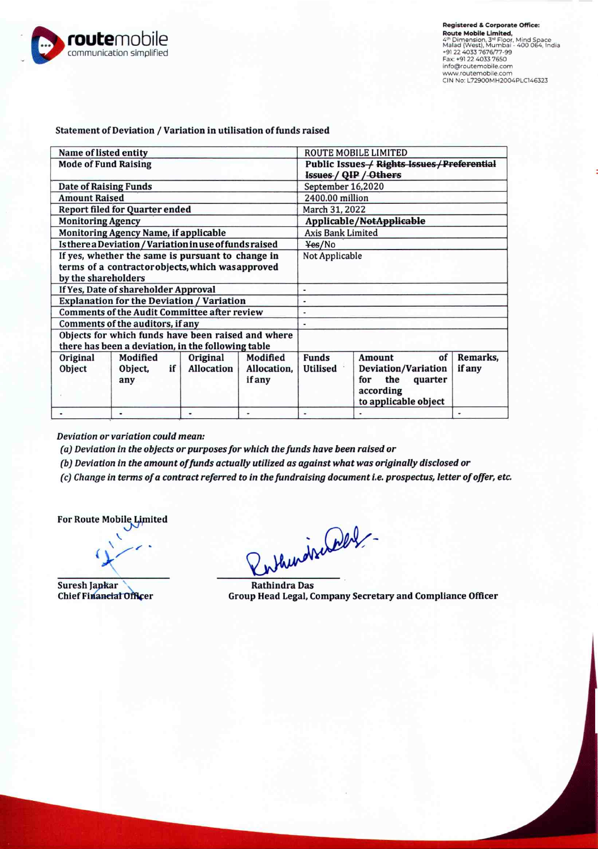

## Registered & Corporate Office: **Route Mobile Limited,<br>4<sup>th</sup> Dimension, 3<sup>rd</sup> Floor, Mind Space<br>Malad (West), Mumbai - 400 064, India<br>+91 22 4033 7676/77-99<br>Fax: +91 22 4033 7650** Info@routemobile.com www.routemobile.com CIN No: L72900MH2004PLC146323

| Name of listed entity                                  |                                                    |            | ROUTE MOBILE LIMITED |                                                                       |                                                            |          |
|--------------------------------------------------------|----------------------------------------------------|------------|----------------------|-----------------------------------------------------------------------|------------------------------------------------------------|----------|
| <b>Mode of Fund Raising</b>                            |                                                    |            |                      | Public Issues / Rights Issues / Preferential<br>Issues / QIP / Others |                                                            |          |
| <b>Date of Raising Funds</b>                           |                                                    |            | September 16,2020    |                                                                       |                                                            |          |
| <b>Amount Raised</b>                                   |                                                    |            |                      | 2400.00 million                                                       |                                                            |          |
| <b>Report filed for Quarter ended</b>                  |                                                    |            |                      | March 31, 2022                                                        |                                                            |          |
| <b>Monitoring Agency</b>                               |                                                    |            |                      | Applicable/NotApplicable                                              |                                                            |          |
| Monitoring Agency Name, if applicable                  |                                                    |            |                      | <b>Axis Bank Limited</b>                                              |                                                            |          |
| Isthere a Deviation / Variation in use of funds raised |                                                    |            |                      | ¥es/No                                                                |                                                            |          |
| If yes, whether the same is pursuant to change in      |                                                    |            |                      | Not Applicable                                                        |                                                            |          |
|                                                        | terms of a contractorobjects, which was approved   |            |                      |                                                                       |                                                            |          |
| by the shareholders                                    |                                                    |            |                      |                                                                       |                                                            |          |
| If Yes, Date of shareholder Approval                   |                                                    |            |                      |                                                                       |                                                            |          |
| <b>Explanation for the Deviation / Variation</b>       |                                                    |            |                      |                                                                       |                                                            |          |
| <b>Comments of the Audit Committee after review</b>    |                                                    |            |                      |                                                                       |                                                            |          |
| Comments of the auditors, if any                       |                                                    |            |                      | $\blacksquare$                                                        |                                                            |          |
|                                                        | Objects for which funds have been raised and where |            |                      |                                                                       |                                                            |          |
|                                                        | there has been a deviation, in the following table |            |                      |                                                                       |                                                            |          |
| Original                                               | Modified                                           | Original   | Modified             | <b>Funds</b>                                                          | of<br>Amount                                               | Remarks, |
| Object                                                 | if<br>Object,                                      | Allocation | Allocation,          | Utilised                                                              | Deviation/Variation                                        | if any   |
|                                                        | any                                                |            | if any               |                                                                       | the<br>for<br>quarter<br>according<br>to applicable object |          |
|                                                        |                                                    | ٠          |                      |                                                                       |                                                            | ٠        |

Statement of Deviation / Variation in utilisation of funds raised

Deviation or variation could mean:

(a) Deviation in the objects or purposes for which the funds have been raised or

(b) Deviation in the amount of funds actually utilized as against what was originally disclosed or

(c) Change in terms of a contract referred to in the fundraising document i.e. prospectus, letter of offer, etc.

For Route Mobile Limited

 $\star$ 

Suresh Jankar<br>Chief Financial Officer Group Head Legal, Company Secret

Group Head Legal, Company Secretary and Compliance Officer